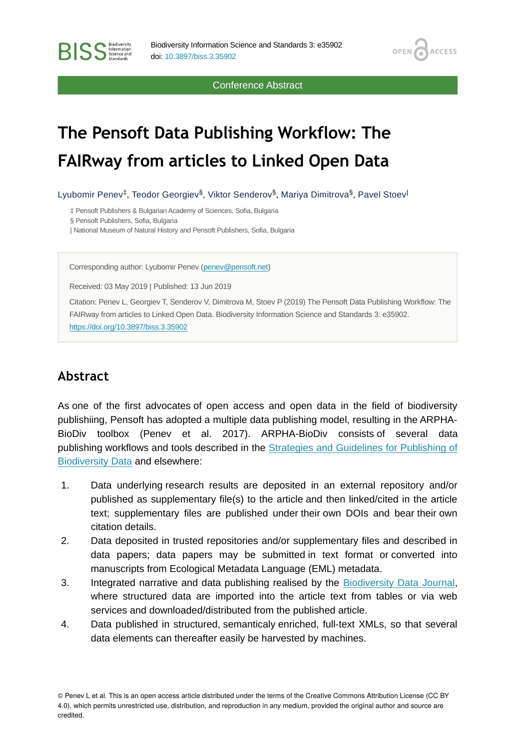Conference Abstract

OPEN<sub>6</sub>

**ACCESS** 

## **The Pensoft Data Publishing Workflow: The FAIRway from articles to Linked Open Data**

Lyubomir Penev<sup>‡</sup>, Teodor Georgiev<sup>§</sup>, Viktor Senderov<sup>§</sup>, Mariya Dimitrova<sup>§</sup>, Pavel Stoev<sup>|</sup>

‡ Pensoft Publishers & Bulgarian Academy of Sciences, Sofia, Bulgaria

§ Pensoft Publishers, Sofia, Bulgaria

**BISS** Steince and

| National Museum of Natural History and Pensoft Publishers, Sofia, Bulgaria

Corresponding author: Lyubomir Penev ([penev@pensoft.net](mailto:penev@pensoft.net))

Received: 03 May 2019 | Published: 13 Jun 2019

Citation: Penev L, Georgiev T, Senderov V, Dimitrova M, Stoev P (2019) The Pensoft Data Publishing Workflow: The FAIRway from articles to Linked Open Data. Biodiversity Information Science and Standards 3: e35902. <https://doi.org/10.3897/biss.3.35902>

## **Abstract**

As one of the first advocates of open access and open data in the field of biodiversity publishiing, Pensoft has adopted a multiple data publishing model, resulting in the ARPHA-BioDiv toolbox (Penev et al. 2017). ARPHA-BioDiv consists of several data publishing workflows and tools described in the [Strategies and Guidelines for Publishing of](https://riojournal.com/articles.php?id=12431) [Biodiversity Data](https://riojournal.com/articles.php?id=12431) and elsewhere:

- 1. Data underlying research results are deposited in an external repository and/or published as supplementary file(s) to the article and then linked/cited in the article text; supplementary files are published under their own DOIs and bear their own citation details.
- 2. Data deposited in trusted repositories and/or supplementary files and described in data papers; data papers may be submitted in text format or converted into manuscripts from Ecological Metadata Language (EML) metadata.
- 3. Integrated narrative and data publishing realised by the [Biodiversity Data Journal,](https://bdj.pensoft.net/) where structured data are imported into the article text from tables or via web services and downloaded/distributed from the published article.
- 4. Data published in structured, semanticaly enriched, full-text XMLs, so that several data elements can thereafter easily be harvested by machines.

© Penev L et al. This is an open access article distributed under the terms of the Creative Commons Attribution License (CC BY 4.0), which permits unrestricted use, distribution, and reproduction in any medium, provided the original author and source are credited.